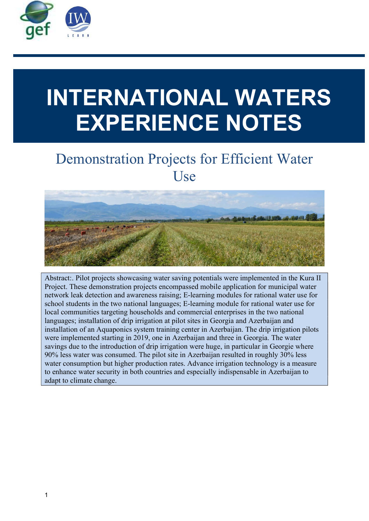

# INTERNATIONAL WATERS EXPERIENCE NOTES

# Demonstration Projects for Efficient Water Use



Abstract:. Pilot projects showcasing water saving potentials were implemented in the Kura II Project. These demonstration projects encompassed mobile application for municipal water network leak detection and awareness raising; E-learning modules for rational water use for school students in the two national languages; E-learning module for rational water use for local communities targeting households and commercial enterprises in the two national languages; installation of drip irrigation at pilot sites in Georgia and Azerbaijan and installation of an Aquaponics system training center in Azerbaijan. The drip irrigation pilots were implemented starting in 2019, one in Azerbaijan and three in Georgia. The water savings due to the introduction of drip irrigation were huge, in particular in Georgie where 90% less water was consumed. The pilot site in Azerbaijan resulted in roughly 30% less water consumption but higher production rates. Advance irrigation technology is a measure to enhance water security in both countries and especially indispensable in Azerbaijan to adapt to climate change.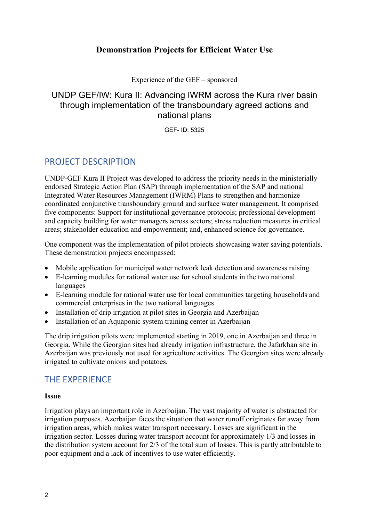### Demonstration Projects for Efficient Water Use

Experience of the GEF – sponsored

# UNDP GEF/IW: Kura II: Advancing IWRM across the Kura river basin through implementation of the transboundary agreed actions and national plans

GEF- ID: 5325

# PROJECT DESCRIPTION

UNDP-GEF Kura II Project was developed to address the priority needs in the ministerially endorsed Strategic Action Plan (SAP) through implementation of the SAP and national Integrated Water Resources Management (IWRM) Plans to strengthen and harmonize coordinated conjunctive transboundary ground and surface water management. It comprised five components: Support for institutional governance protocols; professional development and capacity building for water managers across sectors; stress reduction measures in critical areas; stakeholder education and empowerment; and, enhanced science for governance.

One component was the implementation of pilot projects showcasing water saving potentials. These demonstration projects encompassed:

- Mobile application for municipal water network leak detection and awareness raising
- E-learning modules for rational water use for school students in the two national languages
- E-learning module for rational water use for local communities targeting households and commercial enterprises in the two national languages
- Installation of drip irrigation at pilot sites in Georgia and Azerbaijan
- Installation of an Aquaponic system training center in Azerbaijan

The drip irrigation pilots were implemented starting in 2019, one in Azerbaijan and three in Georgia. While the Georgian sites had already irrigation infrastructure, the Jafarkhan site in Azerbaijan was previously not used for agriculture activities. The Georgian sites were already irrigated to cultivate onions and potatoes.

# THE EXPERIENCE

#### Issue

Irrigation plays an important role in Azerbaijan. The vast majority of water is abstracted for irrigation purposes. Azerbaijan faces the situation that water runoff originates far away from irrigation areas, which makes water transport necessary. Losses are significant in the irrigation sector. Losses during water transport account for approximately 1/3 and losses in the distribution system account for 2/3 of the total sum of losses. This is partly attributable to poor equipment and a lack of incentives to use water efficiently.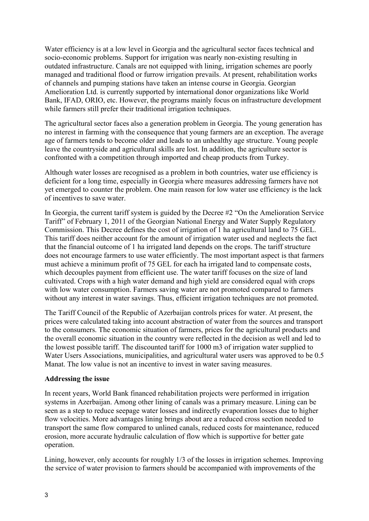Water efficiency is at a low level in Georgia and the agricultural sector faces technical and socio-economic problems. Support for irrigation was nearly non-existing resulting in outdated infrastructure. Canals are not equipped with lining, irrigation schemes are poorly managed and traditional flood or furrow irrigation prevails. At present, rehabilitation works of channels and pumping stations have taken an intense course in Georgia. Georgian Amelioration Ltd. is currently supported by international donor organizations like World Bank, IFAD, ORIO, etc. However, the programs mainly focus on infrastructure development while farmers still prefer their traditional irrigation techniques.

The agricultural sector faces also a generation problem in Georgia. The young generation has no interest in farming with the consequence that young farmers are an exception. The average age of farmers tends to become older and leads to an unhealthy age structure. Young people leave the countryside and agricultural skills are lost. In addition, the agriculture sector is confronted with a competition through imported and cheap products from Turkey.

Although water losses are recognised as a problem in both countries, water use efficiency is deficient for a long time, especially in Georgia where measures addressing farmers have not yet emerged to counter the problem. One main reason for low water use efficiency is the lack of incentives to save water.

In Georgia, the current tariff system is guided by the Decree #2 "On the Amelioration Service Tariff" of February 1, 2011 of the Georgian National Energy and Water Supply Regulatory Commission. This Decree defines the cost of irrigation of 1 ha agricultural land to 75 GEL. This tariff does neither account for the amount of irrigation water used and neglects the fact that the financial outcome of 1 ha irrigated land depends on the crops. The tariff structure does not encourage farmers to use water efficiently. The most important aspect is that farmers must achieve a minimum profit of 75 GEL for each ha irrigated land to compensate costs, which decouples payment from efficient use. The water tariff focuses on the size of land cultivated. Crops with a high water demand and high yield are considered equal with crops with low water consumption. Farmers saving water are not promoted compared to farmers without any interest in water savings. Thus, efficient irrigation techniques are not promoted.

The Tariff Council of the Republic of Azerbaijan controls prices for water. At present, the prices were calculated taking into account abstraction of water from the sources and transport to the consumers. The economic situation of farmers, prices for the agricultural products and the overall economic situation in the country were reflected in the decision as well and led to the lowest possible tariff. The discounted tariff for 1000 m3 of irrigation water supplied to Water Users Associations, municipalities, and agricultural water users was approved to be 0.5 Manat. The low value is not an incentive to invest in water saving measures.

#### Addressing the issue

In recent years, World Bank financed rehabilitation projects were performed in irrigation systems in Azerbaijan. Among other lining of canals was a primary measure. Lining can be seen as a step to reduce seepage water losses and indirectly evaporation losses due to higher flow velocities. More advantages lining brings about are a reduced cross section needed to transport the same flow compared to unlined canals, reduced costs for maintenance, reduced erosion, more accurate hydraulic calculation of flow which is supportive for better gate operation.

Lining, however, only accounts for roughly 1/3 of the losses in irrigation schemes. Improving the service of water provision to farmers should be accompanied with improvements of the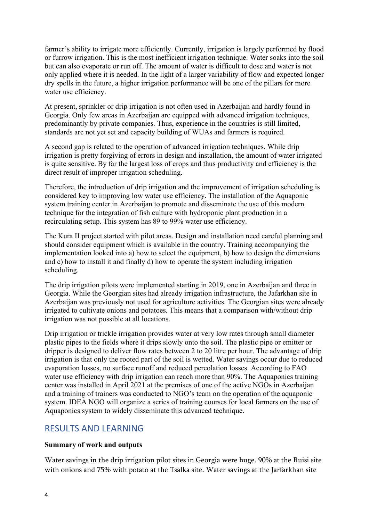farmer's ability to irrigate more efficiently. Currently, irrigation is largely performed by flood or furrow irrigation. This is the most inefficient irrigation technique. Water soaks into the soil but can also evaporate or run off. The amount of water is difficult to dose and water is not only applied where it is needed. In the light of a larger variability of flow and expected longer dry spells in the future, a higher irrigation performance will be one of the pillars for more water use efficiency.

At present, sprinkler or drip irrigation is not often used in Azerbaijan and hardly found in Georgia. Only few areas in Azerbaijan are equipped with advanced irrigation techniques, predominantly by private companies. Thus, experience in the countries is still limited, standards are not yet set and capacity building of WUAs and farmers is required.

A second gap is related to the operation of advanced irrigation techniques. While drip irrigation is pretty forgiving of errors in design and installation, the amount of water irrigated is quite sensitive. By far the largest loss of crops and thus productivity and efficiency is the direct result of improper irrigation scheduling.

Therefore, the introduction of drip irrigation and the improvement of irrigation scheduling is considered key to improving low water use efficiency. The installation of the Aquaponic system training center in Azerbaijan to promote and disseminate the use of this modern technique for the integration of fish culture with hydroponic plant production in a recirculating setup. This system has 89 to 99% water use efficiency.

The Kura II project started with pilot areas. Design and installation need careful planning and should consider equipment which is available in the country. Training accompanying the implementation looked into a) how to select the equipment, b) how to design the dimensions and c) how to install it and finally d) how to operate the system including irrigation scheduling.

The drip irrigation pilots were implemented starting in 2019, one in Azerbaijan and three in Georgia. While the Georgian sites had already irrigation infrastructure, the Jafarkhan site in Azerbaijan was previously not used for agriculture activities. The Georgian sites were already irrigated to cultivate onions and potatoes. This means that a comparison with/without drip irrigation was not possible at all locations.

Drip irrigation or trickle irrigation provides water at very low rates through small diameter plastic pipes to the fields where it drips slowly onto the soil. The plastic pipe or emitter or dripper is designed to deliver flow rates between 2 to 20 litre per hour. The advantage of drip irrigation is that only the rooted part of the soil is wetted. Water savings occur due to reduced evaporation losses, no surface runoff and reduced percolation losses. According to FAO water use efficiency with drip irrigation can reach more than 90%. The Aquaponics training center was installed in April 2021 at the premises of one of the active NGOs in Azerbaijan and a training of trainers was conducted to NGO's team on the operation of the aquaponic system. IDEA NGO will organize a series of training courses for local farmers on the use of Aquaponics system to widely disseminate this advanced technique.

# RESULTS AND LEARNING

#### Summary of work and outputs

Water savings in the drip irrigation pilot sites in Georgia were huge. 90% at the Ruisi site with onions and 75% with potato at the Tsalka site. Water savings at the Jarfarkhan site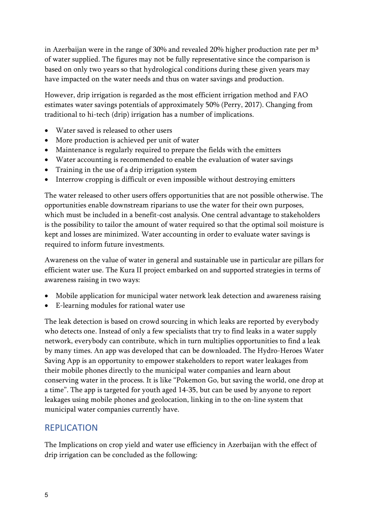in Azerbaijan were in the range of 30% and revealed 20% higher production rate per m<sup>3</sup> of water supplied. The figures may not be fully representative since the comparison is based on only two years so that hydrological conditions during these given years may have impacted on the water needs and thus on water savings and production.

However, drip irrigation is regarded as the most efficient irrigation method and FAO estimates water savings potentials of approximately 50% (Perry, 2017). Changing from traditional to hi-tech (drip) irrigation has a number of implications.

- Water saved is released to other users
- More production is achieved per unit of water
- Maintenance is regularly required to prepare the fields with the emitters
- Water accounting is recommended to enable the evaluation of water savings
- Training in the use of a drip irrigation system
- Interrow cropping is difficult or even impossible without destroying emitters

The water released to other users offers opportunities that are not possible otherwise. The opportunities enable downstream riparians to use the water for their own purposes, which must be included in a benefit-cost analysis. One central advantage to stakeholders is the possibility to tailor the amount of water required so that the optimal soil moisture is kept and losses are minimized. Water accounting in order to evaluate water savings is required to inform future investments.

Awareness on the value of water in general and sustainable use in particular are pillars for efficient water use. The Kura II project embarked on and supported strategies in terms of awareness raising in two ways:

- Mobile application for municipal water network leak detection and awareness raising
- E-learning modules for rational water use

The leak detection is based on crowd sourcing in which leaks are reported by everybody who detects one. Instead of only a few specialists that try to find leaks in a water supply network, everybody can contribute, which in turn multiplies opportunities to find a leak by many times. An app was developed that can be downloaded. The Hydro-Heroes Water Saving App is an opportunity to empower stakeholders to report water leakages from their mobile phones directly to the municipal water companies and learn about conserving water in the process. It is like "Pokemon Go, but saving the world, one drop at a time". The app is targeted for youth aged 14-35, but can be used by anyone to report leakages using mobile phones and geolocation, linking in to the on-line system that municipal water companies currently have.

# REPLICATION

The Implications on crop yield and water use efficiency in Azerbaijan with the effect of drip irrigation can be concluded as the following: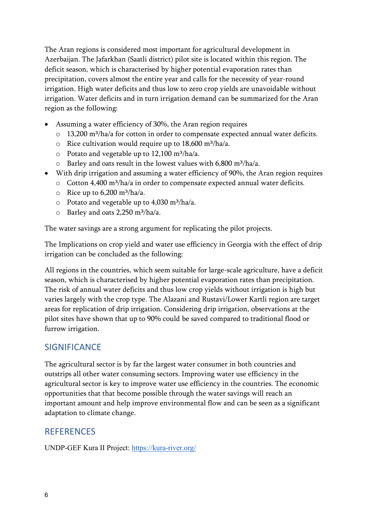The Aran regions is considered most important for agricultural development in Azerbaijan. The Jafarkhan (Saatli district) pilot site is located within this region. The deficit season, which is characterised by higher potential evaporation rates than precipitation, covers almost the entire year and calls for the necessity of year-round irrigation. High water deficits and thus low to zero crop yields are unavoidable without irrigation. Water deficits and in turn irrigation demand can be summarized for the Aran region as the following:

- Assuming a water efficiency of 30%, the Aran region requires
	- o 13,200 m<sup>3</sup>/ha/a for cotton in order to compensate expected annual water deficits.
	- $\circ$  Rice cultivation would require up to 18,600 m<sup>3</sup>/ha/a.
	- $\circ$  Potato and vegetable up to 12,100 m<sup>3</sup>/ha/a.
	- $\circ$  Barley and oats result in the lowest values with 6,800 m<sup>3</sup>/ha/a.
- With drip irrigation and assuming a water efficiency of 90%, the Aran region requires
	- o Cotton 4,400 m<sup>3</sup>/ha/a in order to compensate expected annual water deficits.
	- $\circ$  Rice up to 6,200 m<sup>3</sup>/ha/a.
	- $\circ$  Potato and vegetable up to 4,030 m<sup>3</sup>/ha/a.
	- $\circ$  Barley and oats 2,250 m<sup>3</sup>/ha/a.

The water savings are a strong argument for replicating the pilot projects.

The Implications on crop yield and water use efficiency in Georgia with the effect of drip irrigation can be concluded as the following:

All regions in the countries, which seem suitable for large-scale agriculture, have a deficit season, which is characterised by higher potential evaporation rates than precipitation. The risk of annual water deficits and thus low crop yields without irrigation is high but varies largely with the crop type. The Alazani and Rustavi/Lower Kartli region are target areas for replication of drip irrigation. Considering drip irrigation, observations at the pilot sites have shown that up to 90% could be saved compared to traditional flood or furrow irrigation.

# **SIGNIFICANCE**

The agricultural sector is by far the largest water consumer in both countries and outstrips all other water consuming sectors. Improving water use efficiency in the agricultural sector is key to improve water use efficiency in the countries. The economic opportunities that that become possible through the water savings will reach an important amount and help improve environmental flow and can be seen as a significant adaptation to climate change.

# **REFERENCES**

UNDP-GEF Kura II Project: https://kura-river.org/